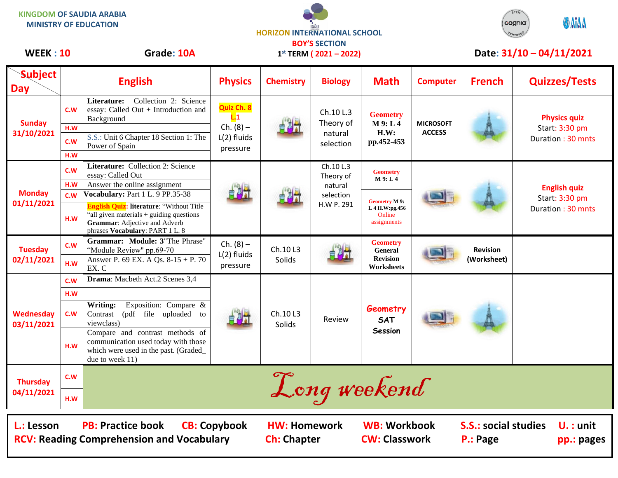**KINGDOM OF SAUDIA ARABIA MINISTRY OF EDUCATION**





## **Subject Day English Physics Chemistry Biology Math Computer French Quizzes/Tests Sunday 31/10/2021 C.W** Literature: Collection 2: Science essay: Called Out + Introduction and Background **Quiz Ch. 8 L.1**  $Ch. (8) -$ L(2) fluids pressure Ch.10 L.3 Theory of natural selection **Geometry M 9: L 4 H.W: pp.452-453 MICROSOFT ACCESS Physics quiz** Start: 3:30 pm Duration : 30 mnts **H.W C.W** S.S.: Unit 6 Chapter 18 Section 1: The Power of Spain **H.W Monday 01/11/2021 C.W Literature:** Collection 2: Science essay: Called Out Ch.10 L.3 Theory of natural selection H.W P. 291 **Geometry M 9: L 4 English quiz** Start: 3:30 pm Duration : 30 mnts **H.W** Answer the online assignment **C.W Vocabulary:** Part 1 L. 9 PP.35-38 **Geometry M 9: L 4 H.W:pg.456** Online **H.W** Grammar: Adjective and Adverb **H.W** Grammar: Adjective and Adverb **English Quiz: literature**: "Without Title "all given materials + guiding questions phrases **Vocabulary**: PART 1 L. 8 **Tuesday 02/11/2021 C.W Grammar: Module: 3**"The Phrase" "Module Review" pp.69-70  $Ch. (8) -$ L(2) fluids pressure Ch.10 L3 Solids **Geometry General Revision Worksheets Revision H.W** Answer P. 69 EX. A Qs. 8-15 + P. 70 research Solids Solids Revision Revision (Worksheet) EX. C **Wednesday 03/11/2021 C.W Drama**: Macbeth Act.2 Scenes 3,4 Ch.10 L3 Solids Review **Geometry SAT Session H.W C.W Writing:** Exposition: Compare & Contrast (pdf file uploaded to viewclass) **H.W** Compare and contrast methods of communication used today with those which were used in the past. (Graded\_ due to week 11) **Thursday 04/11/2021 C.W**  $\mathcal{L}$  and  $\omega$  and  $\omega$  and  $\omega$  and  $\omega$  and  $\omega$  and  $\omega$  and  $\omega$  and  $\omega$  and  $\omega$  and  $\omega$  and  $\omega$  and  $\omega$  and  $\omega$  and  $\omega$  and  $\omega$  and  $\omega$  and  $\omega$  and  $\omega$  and  $\omega$  and  $\omega$  and  $\omega$  and  $\omega$  and  $\omega$  and  $\$ **1 st TERM ( 2021 – 2022)** WEEK: 10 Grade: 10A 1<sup>st</sup> TERM (2021 – 2022) Date: 31/10 – 04/11/2021 **L.: Lesson PB: Practice book CB: Copybook HW: Homework WB: Workbook S.S.: social studies U. : unit RCV: Reading Comprehension and Vocabulary and Ch: Chapter CW: Classwork P.: Page pp.: pages**